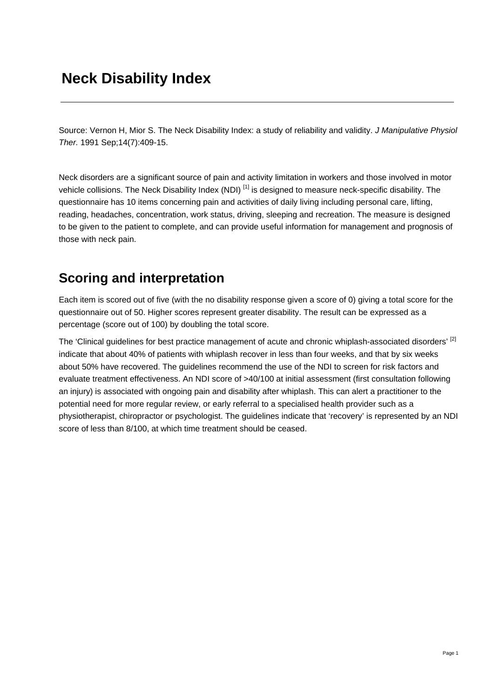# **Neck Disability Index**

Source: Vernon H, Mior S. The Neck Disability Index: a study of reliability and validity. *J Manipulative Physiol Ther.* 1991 Sep;14(7):409-15.

Neck disorders are a significant source of pain and activity limitation in workers and those involved in motor vehicle collisions. The Neck Disability Index (NDI)<sup>[1]</sup> is designed to measure neck-specific disability. The questionnaire has 10 items concerning pain and activities of daily living including personal care, lifting, reading, headaches, concentration, work status, driving, sleeping and recreation. The measure is designed to be given to the patient to complete, and can provide useful information for management and prognosis of those with neck pain.

## **Scoring and interpretation**

Each item is scored out of five (with the no disability response given a score of 0) giving a total score for the questionnaire out of 50. Higher scores represent greater disability. The result can be expressed as a percentage (score out of 100) by doubling the total score.

The 'Clinical guidelines for best practice management of acute and chronic whiplash-associated disorders' [2] indicate that about 40% of patients with whiplash recover in less than four weeks, and that by six weeks about 50% have recovered. The guidelines recommend the use of the NDI to screen for risk factors and evaluate treatment effectiveness. An NDI score of >40/100 at initial assessment (first consultation following an injury) is associated with ongoing pain and disability after whiplash. This can alert a practitioner to the potential need for more regular review, or early referral to a specialised health provider such as a physiotherapist, chiropractor or psychologist. The guidelines indicate that 'recovery' is represented by an NDI score of less than 8/100, at which time treatment should be ceased.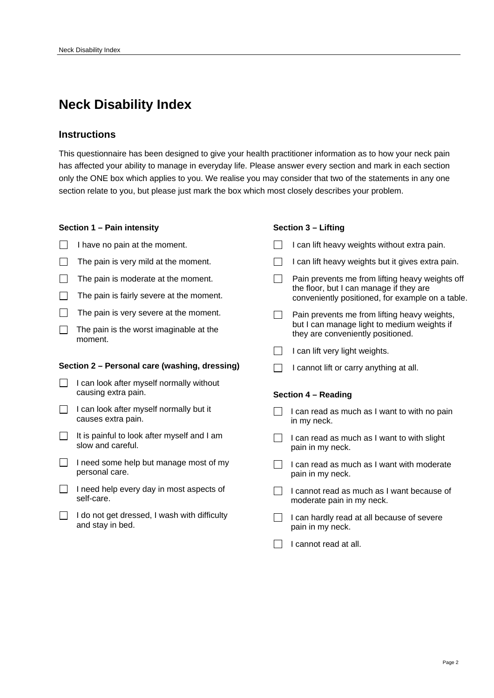## **Neck Disability Index**

### **Instructions**

This questionnaire has been designed to give your health practitioner information as to how your neck pain has affected your ability to manage in everyday life. Please answer every section and mark in each section only the ONE box which applies to you. We realise you may consider that two of the statements in any one section relate to you, but please just mark the box which most closely describes your problem.

### **Section 1 – Pain intensity**

- $\Box$  I have no pain at the moment.
- $\Box$  The pain is very mild at the moment.
- $\Box$  The pain is moderate at the moment.
- $\Box$  The pain is fairly severe at the moment.
- $\Box$  The pain is very severe at the moment.
- $\Box$  The pain is the worst imaginable at the moment.

#### **Section 2 – Personal care (washing, dressing)**

- $\Box$  I can look after myself normally without causing extra pain.
- $\Box$  I can look after myself normally but it causes extra pain.
- $\Box$  It is painful to look after myself and I am slow and careful.
- $\Box$  I need some help but manage most of my personal care.
- $\Box$  I need help every day in most aspects of self-care.
- $\Box$  I do not get dressed, I wash with difficulty and stay in bed.

#### **Section 3 – Lifting**

|                     |  | I can lift heavy weights without extra pain.                                                                                                   |
|---------------------|--|------------------------------------------------------------------------------------------------------------------------------------------------|
|                     |  | I can lift heavy weights but it gives extra pain.                                                                                              |
|                     |  | Pain prevents me from lifting heavy weights off<br>the floor, but I can manage if they are<br>conveniently positioned, for example on a table. |
|                     |  | Pain prevents me from lifting heavy weights,<br>but I can manage light to medium weights if<br>they are conveniently positioned.               |
|                     |  | I can lift very light weights.                                                                                                                 |
|                     |  | I cannot lift or carry anything at all.                                                                                                        |
| Section 4 - Reading |  |                                                                                                                                                |
|                     |  | I can read as much as I want to with no pain<br>in my neck.                                                                                    |
|                     |  | I can read as much as I want to with slight<br>pain in my neck.                                                                                |
|                     |  | I can read as much as I want with moderate                                                                                                     |
|                     |  | pain in my neck.                                                                                                                               |
|                     |  | I cannot read as much as I want because of<br>moderate pain in my neck.                                                                        |
|                     |  | I can hardly read at all because of severe<br>pain in my neck.                                                                                 |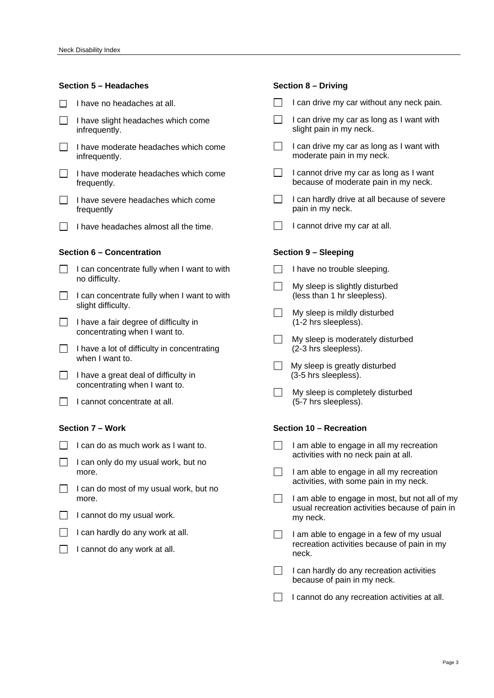#### **Section 5 – Headaches**

- $\Box$  I have no headaches at all.
- $\Box$  I have slight headaches which come infrequently.
- $\Box$  I have moderate headaches which come infrequently.
- $\Box$  I have moderate headaches which come frequently.
- $\Box$  I have severe headaches which come frequently
- $\Box$  I have headaches almost all the time.

### **Section 6 – Concentration**

- $\Box$  I can concentrate fully when I want to with no difficulty.
- $\Box$  I can concentrate fully when I want to with slight difficulty.
- $\Box$  I have a fair degree of difficulty in concentrating when I want to.
- $\Box$  I have a lot of difficulty in concentrating when I want to.
- $\Box$  I have a great deal of difficulty in concentrating when I want to.
- $\Box$  I cannot concentrate at all.

#### **Section 7 – Work**

- $\Box$  I can do as much work as I want to.
- $\Box$  I can only do my usual work, but no more.
- $\Box$  I can do most of my usual work, but no more.
- $\Box$  I cannot do my usual work.
- $\Box$  I can hardly do any work at all.
- $\Box$  I cannot do any work at all.

#### **Section 8 – Driving**

- $\Box$  I can drive my car without any neck pain.
- $\Box$  I can drive my car as long as I want with slight pain in my neck.
- $\Box$  I can drive my car as long as I want with moderate pain in my neck.
- $\Box$  I cannot drive my car as long as I want because of moderate pain in my neck.
- $\Box$  I can hardly drive at all because of severe pain in my neck.
- I cannot drive my car at all.

#### **Section 9 – Sleeping**

- $\Box$  I have no trouble sleeping.
- My sleep is slightly disturbed (less than 1 hr sleepless).
- $\Box$  My sleep is mildly disturbed (1-2 hrs sleepless).
- $\Box$  My sleep is moderately disturbed (2-3 hrs sleepless).
- $\Box$  My sleep is greatly disturbed (3-5 hrs sleepless).
- $\Box$  My sleep is completely disturbed (5-7 hrs sleepless).

#### **Section 10 – Recreation**

- $\Box$  I am able to engage in all my recreation activities with no neck pain at all.
- I am able to engage in all my recreation activities, with some pain in my neck.
- $\Box$  I am able to engage in most, but not all of my usual recreation activities because of pain in my neck.
- I am able to engage in a few of my usual recreation activities because of pain in my neck.
- $\Box$  I can hardly do any recreation activities because of pain in my neck.
- $\Box$  I cannot do any recreation activities at all.